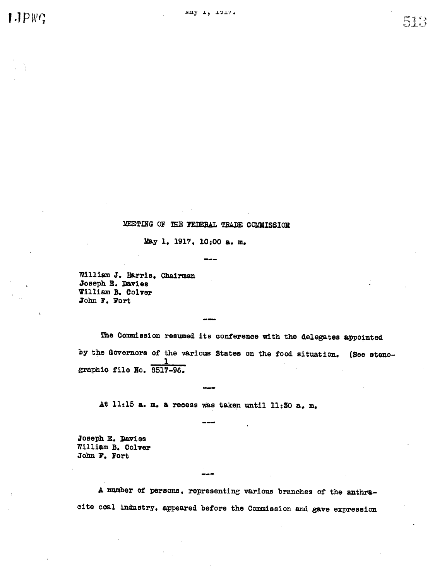$1.1PWC$ 

 $513$ 

# MEETING OF THE FEDERAL TRADE COMMISSION

May 1, 1917, 10:00 a. m.

William J. Harris, Chairman Joseph E. Davies William B. Colver John F. Fort

The Commission resumed its conference with the delegates appointed by the Governors of the various States on the food situation. (See stenographic file No. 8517-96.

At 11:15 a. m. a recess was taken until 11:30 a. m.

Joseph E. Davies William B. Colver John F. Fort

A number of persons, representing various branches of the anthracite coal industry, appeared before the Commission and gave expression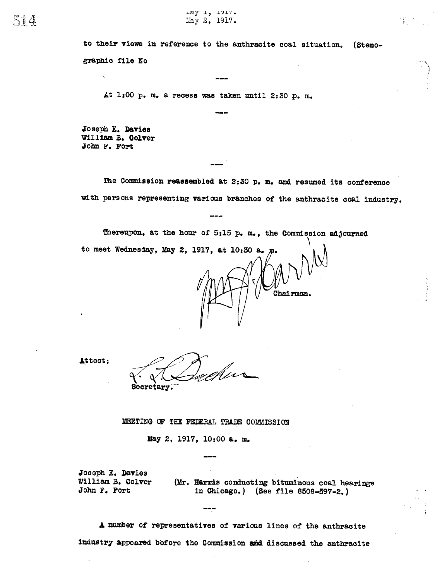to their views in reference to the anthracite coal situation. (Stenographic file No

At 1:00 p. m. a recess was taken until 2:30 p. m.

Joseph E. Davies<br>William B. Colver .John F. Fort

The Commission reassembled at  $2:30$  p. m. and resumed its conference with persons representing' various branches of the anthracite coal industry.

Thereupon, at the hour of 5:15 p. m., the Commission adjourned

to meet Wednesday, May 2, 1917, at  $10:30$  a.

Attest:

Secretary.

#### MEETING OF THE FEDERAL TRADE COMMISSION

May 2, 1917, 10:00 a. m.

Joseph E. Davies William B. Colver John F. Fort

(Mr. Harris conducting bituminous coal hearings in Ohicago. (See file 8508-597-2.

Chairman.

A number of representatives of various lines of the anthracite industry appeared before the Commission and discussed the anthracite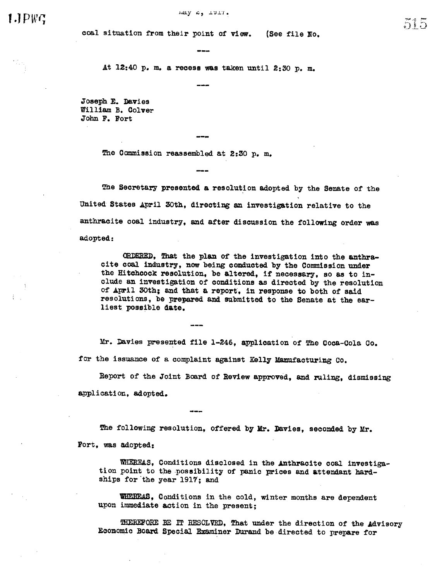# $I$ . $I$  $P$  $W$  $G$

#### Andy  $6, 1511$ .

coal situation from their point of view. (See file No.

At 12:40 p. m. a recess was taken until 2:30 p.

Joseph E. Davies William B. Colver John F. Fort

The Commission reassembled at 2:30 p. m.

The Secretary presented a resolution adopted by the Senate of the United States April 30th, directing an investigation relative to the anthracite coal industry, and after discussion the following order was adopted:

ORDERED, That the plan of the investigation into the anthracite coal industry, now being conducted by the Commission under the Hitchcock resolution, be altered, if necessary, so as to include an investigation of conditions as directed by the resolution of April 30th; and that a report, in response to both of said resolutions, be prepared and submitted to the Senate at the earliest possible date.

Mr. Davies presented file 1-246, application of The Coca-Cola Co. for the issuance of a complaint against Kelly Manufacturing Co.

Report of the Joint Board of Review approved, and ruling, dismissing application, adopted.

The following resolution, offered by Mr. Davies, seconded by Mr.

Fort, was adopted:

WHEREAS, Conditions disclosed in the Anthracite coal investigation point to the possibility of panic prices and attendant hard-ships for the year 1917; and

WHEREAS, Conditions in the cold, winter months are dependent upon immediate action in the present;

HEREFORE BE IT RESOLVED, That under the direction of the Advisory Economic Board Special Examiner Durand be directed to prepare for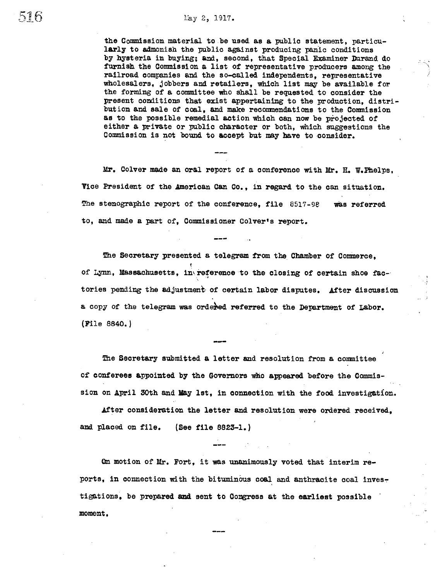#### May 2, 1917.

the Commission material to be used as a public statement, particu-<br>larly to admonish the public against producing panic conditions by hysteria in buying; and, second, that Special Examiner Durand do furnish the Commission a list of representative producers among the railroad companies and the so-called independents, representative wholesalers, jobbers and retailers, which list may be available for the forming of a committee who shall be requested to consider the present conditions that exist appertaining to the production, distribution and sale of coal, and make recommendations to the Commission as to the possible remedial action Which can now be projected of either a private or public character or both, which suggestions the Commission is not bound to accept but may have to consider.

Mr. Colver made an oral report of a conference with Mr. H. W. Phelps, Vice President of the American Can Co., in regard to the can situation. The stenographic report of the conference, file  $8517 - 98$  was referred to, and made a part of, Commissioner Colver's report.

The Secretary presented a telegram from the Chamber of Commerce. of Lynn, Massachusetts, in\reference to the closing of certain shoe factories pending the adjustment of certain labor disputes. After discussion a copy of the telegram was ordered referred to the Department of Labor. (File 8840.

The Secretary submitted a letter and resolution from a committee of conferees appointed by the Governors who appeared before the Commission on April 30th and May 1st, in connection with the food investigation.

After consideration the letter and resolution were ordered received, and placed on file. (See file 8823-1.)

On motion of Mr. Fort, it was unanimously voted that interim reports, in connection with the bituminous coal and anthracite coal investigations, be prepared and sent to Congress at the earliest possible moment.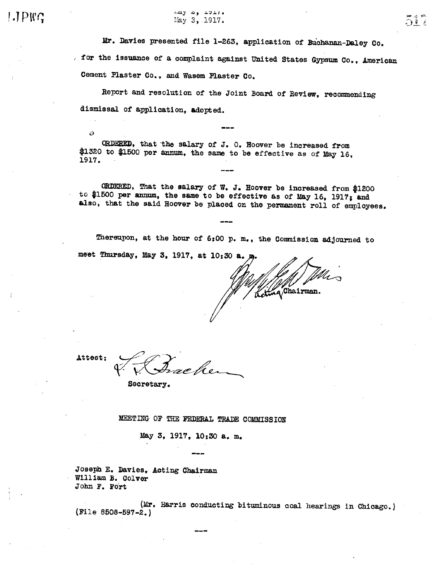### الدحد وم لامتنا May 3, 1917.

Mr. Davies presented file 1-263, application of Buchanan-Daley Co. for the issuance of a complaint against United States Gypsum Co., American Cement Plaster Co., and Wasem Plaster Co.

Report and resolution of the Joint Board of Review, recommending dismissal of application, adopted.

ORDERED, that the salary of J. O. Hoover be increased from \$1320 to \$1500 per annum, the same to be effective as of May 16, 1917.

ORDERED, That the salary of W. J. Hoover be increased from \$1200 to \$1500 per annum, the same to be effective as of May 16, 1917; and also, that the said Hoover be placed on the permanent roll of employees.

Thereupon, at the hour of 6:00 p. m., the Commission adjourned to meet Thursday, May 3, 1917, at 10:30 a.

Leting Chairman.

Attest:

D

Secretary.

MEETING OF THE FEDERAL TRADE COMMISSION

May 3, 1917, 10:30 a. m.

Joseph E. Davies, Acting Chairman William B. Colver John F. Fort

(Mr. Harris conducting bituminous coal hearings in Chicago.)  $[File 8508-597-2.]$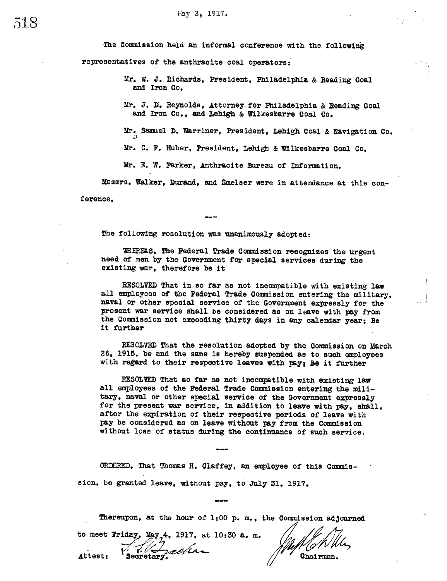The Commission held an informal conference with the following

representatives of the anthracite ooal operators:

Mr. W. J. Richards, President, Philadelphia & Reading Coal and Iron Co.

Mr. J. D. Reynolds, Attorney for Philadelphia & Reading Coal and Iron Co., and Lehigh & Wilkesbarre Coal Co.

Mr. Samel D. Warriner, President, Lehigh Coal & Navigation Co. 0:)

Mr. C. F. Huber, President, Lehigh & Wilkesbarre Coal Co.

Mr. E. W. Parker, Anthracite Bureau of Information.

Messrs. Walker, Durand, and Smelser were in attendance at this con-

ference.

The following resolution was unanimously adopted:

WHEREAS, The Federal Trade Commission recognizes the urgent need of men by the Government for special services during the existing war, therefore be it

RESOLVED That in so far as not incompatible with existing law all employees of the Federal Trade Commission entering the military, naval or other special service of the Government expressly for the present war service shall be considered as on leave with pay from the Commission not exceeding thirty days in any calendar year; Be it further

RESOLVED That the resolution adopted by the Commission on March 26, 1915 , be and the same is hereby suspended as to such employees with regard to their respective leaves with pay; Be it further

RESOLVED That so far as not incompatible with existing law all employees of the Federal Trade Commission entering the military, naval or other special service of the Government expressly for the present war service, in addition to leave with pay, shall, after the expiration of their respective periods of leave with pay be considered as on leave without pay from the Commission without loss of status during the continuance of such service.

ORDERED, That Thomas H. Claffey, an employee of this Commission, be granted leave, without pay, to July 31, 1917.

Thereupon, at the hour of 1:00 p. m., the Commission adjourned

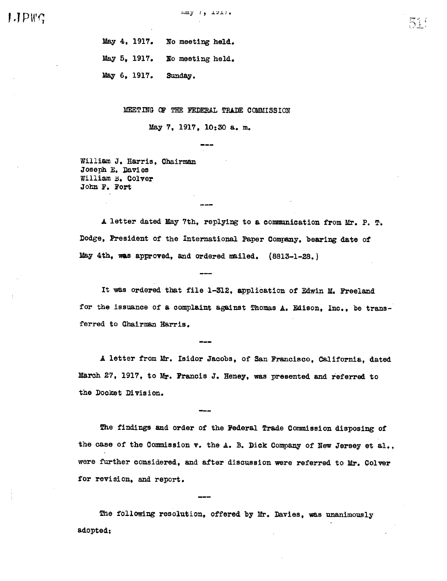51 '

May 4, 1917. No meeting held. May 5, 1917. May  $6, 1917.$ Xo meeting held. Sunday.

MEETING OF THE FEDERAL TRADE COMMISSION

May 7, 1917, 10:30 a. m.

William J. Harris, Chairman Joseph E. Davies William b. Colver John F. Fort

A letter dated by 7th, replying to a commication from Mr. P. T. Dodge, President of the International Paper Company, bearing date of May 4th, was approved, and ordered miled. (8813-1-28. )

It was ordered that file 1-312, application of Edwin M. Freeland for the issuance of a complaint against Thomas A. Edison, Inc., be transferred to Chairman Harris.

A letter from Mr. Isidor Jacobs , of San Francisco , Caifornia, dated March 27, 1917, to Mr. Francis J. Heney, was presented and referred to the Docket Division.

The findings and order of the Federal Trade Commission disposing of the case of the Commission v. the A. B. Dick Company of New Jersey et al., were further considered, and after discussion were referred to Mr. Colver for revision, and report.

The following resolution, offered by Mr. Davies, was unanimously adopted: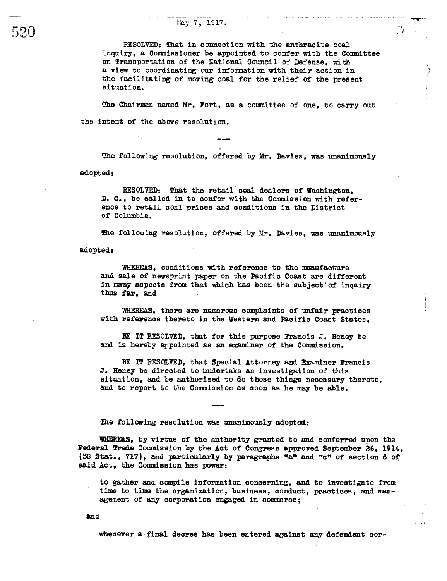## hay 7, 1917.

RESOLVED: That in connection with the anthracite coal inquiry, a Commssioner be appointed to confer with the Committee on Transportation of the National Council of Defense, wi a view to coordinating our information with their action in the facilitating of moving coal for the relief of the present situation.

..n

 $\Delta \sim 10$ 

The Chairman named Mr. Fort, as a committee of one, to carry out the intent of the above resolution.

The following resolution, offered by Mr. Davies, was unanimously adopted:

RESOLVED: That the retail coal dealers of Washington. D. C., be called in to confer with the Commission with reference to retail coal prices and conditions in the District of Columbia.

The following resolution, offered by Mr. Davies, was unanimously

adopted:

WHEREAS, conditions with reference to the manufacture and sa1e of newprint paper on the Pacific Coast are different in many aspects from that which has been the subject of inquiry thus far, and

WHEREAS, there are numerous complaints of unfair practices with reference thereto in the Western and Pacific Coast States,

BE IT RESOLVED, that for this purpose Francis J. Heney be and is hereby appointed as an examiner of the Commission.

BE IT RESOLVED, that Special Attorney and Examiner Francis J. Heney be directed to undertake an investigation of this situation, and be authorized to do those things necessary thereto, and to report to the Commission as soon as he may be able.

The following resolution was unanimously adopted:

WHEREAS, by virtue of the authority granted to and conferred upon the Federal Trade Commission by the Act of Congress approved September 26, 1914, (38 Stat., 717), and particularly by paragraphs  $n a n$  and  $n c n$  of section 6 of said Act, the Commission has power:

to gather and compile information concerning, and to investigate from time to time the organization, business, conduct, practices, and management of any corporation engaged in commerce:

and

whenever a final decree has been entered against any defendant cor-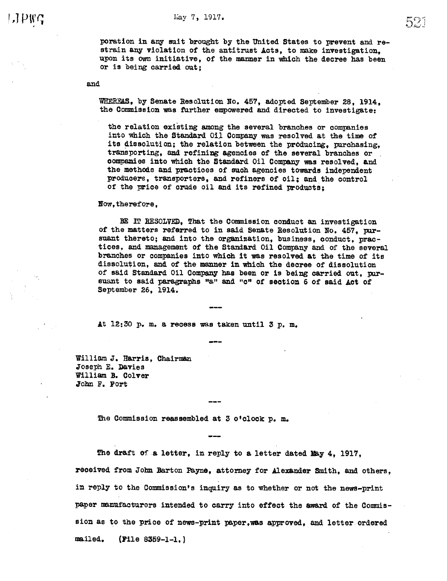poration in any suit brought by the United States to prevent and restrain any violation of the antitrust Acts, to make investigation. upon its own initiative, of the manner in which the decree has been or is being carried out;

and

WHEREAS, by Senate Resolution No. 457, adopted September 28, 1914. the Commission was further empowered and directed to investigate:

the relation existing among the several branches or companies into which the Standard Oil Company was resolved at the time of its dissolution; the relation between the producing, purchasing, transporting, and refining agencies of the several branches or companies into which the Standard Oil Company was resolved, and the methods and practices of such agencies towards independent producers, transporters, and refiners of oil; and the control of the price of crude oil and its refined products;

Now, therefore.

BE IT RESOLVED, That the Commission conduct an investigation of the matters referred to in said Senate Resolution No. 457. pursuant thereto; and into the organization, business, conduct, practices, and management of the Standard Oil Company and of the several branches or companies into which it was resolved at the time of its dissolution, and of the manner in which the decree of dissolution of said Standard Oil Company has been or is being carried out, pursuant to said paragraphs "a" and "c" of section 6 of said Act of September 26, 1914.

At 12:30 p.m. a recess was taken until 3 p.m.

William J. Harris. Chairman Joseph E. Davies William B. Colver John F. Fort

The Commission reassembled at 3 o'clock p. m.

The draft of a letter, in reply to a letter dated May 4, 1917, received from John Barton Payne, attorney for Alexander Smith, and others, in reply to the Commission's inquiry as to whether or not the news-print paper manufacturers intended to carry into effect the award of the Commission as to the price of news-print paper, was approved, and letter ordered mailed.  $[$  File 8359-1-1.]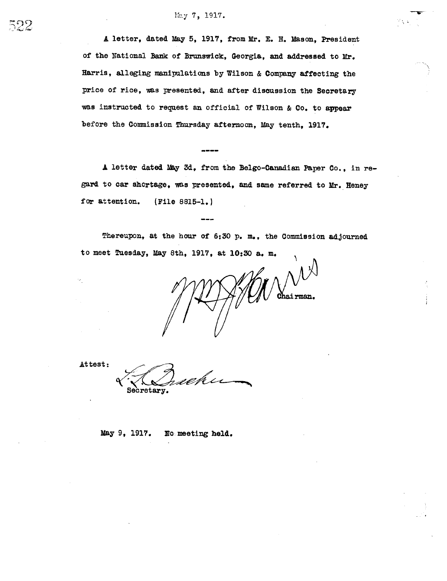## May 7, 1917.

A letter, dated May 5, 1917, from Mr. E. H. Mason, President of the National Bank of Brunswick, Georgia, and addressed to Mr. Harris, alleging manipulations by Wilson & Company affecting the price of rice, was presented, and after discussion the Secretary was instructed to request an official of Wilson & Co. to appear before the Commission Thursday afternoon, May tenth, 1917.

A letter dated May 3d, from the Belgo-Canadian Paper Co., in regard to car shortage, was presented, and same referred to Mr. Heney for attention. (File 8815-1.)

Thereupon, at the hour of 6:30 p. m., the Commission adjourned to meet Tuesday, May 8th, 1917, at 10:30 a. m.

 $\mathcal{U}^{\mathcal{M}^{\mathcal{N}}}$ ohairman.

Attest:

Secretary.

May 9, 1917. No meeting held.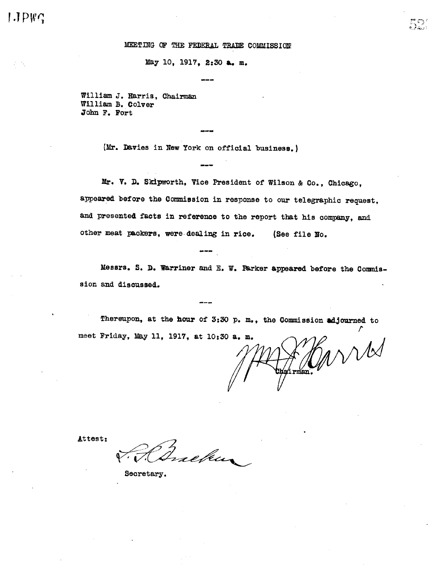#### MEETING OF THE FEDERAL TRADE COMMISSION

May 10, 1917, 2:30 a. m.

William J. Harris, Chairman William B. Colver John F. Fort

(Mr. Davies in New York on official business.)

Mr. V. D. Skipworth, Vice President of Wilson & Co., Chicago, appeared before the Commission in response to our telegraphic request, and presented facts in reference to the report that his company, and other meat packers, were dealing in rice. (See file No.

Messrs. S. D. Warriner and E. W. Parker appeared before the Commission and discussed.

Thereupon, at the hour of 3:30 p. m., the Commission adjourned to meet Friday, May 11, 1917, at 10:30 a. m.

WW  $\frac{1}{2}$ 

Attest:

Inaebur

Secretary.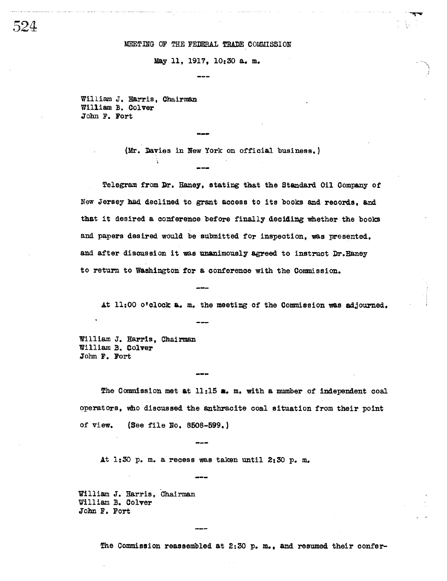#### MEETING OF THE FEDERAL TRADE COMMISSION

## May 11, 1917, 10:30 a. m.

William J. Harris, Chairman William B. Colver John F. Fort

(Mr. Davies in New York on official business.)

Telegram from Dr. Haney, stating that the Standard Oil Company of New Jersey had declined to grant access to its books and records, and that it desired a conference before finally deciding whether the books and papers desired would be submitted for inspection, was presented, and after discussion it was unanimously agreed to instruct Dr. Haney to return to Washington for a conference with the Commission.

At 11:00 o'clock a. m. the meeting of the Commission was adjourned.

William J. Harris, Chairman William B. Colver John F. Fort

The Commission met at 11:15 s. m. with a number of independent coal operators, who discussed the anthracite coal situation from their point of view. (See file No. 8508-599.)

At 1:30 p.m. a recess was taken until 2:30 p.m.

William J. Harris, Chairman William B. Colver John F. Fort

The Commission reassembled at 2:30 p.m., and resumed their confer-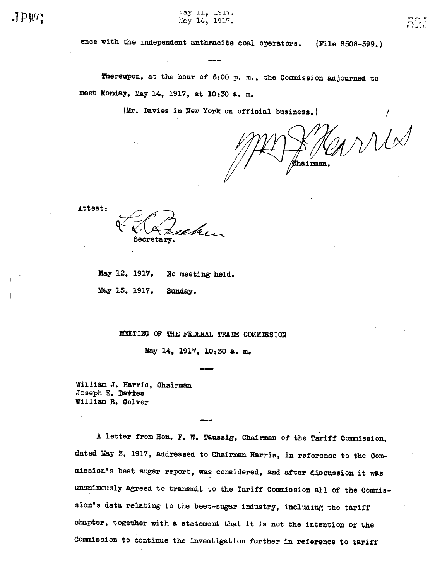Fay II, IMIT. May 14, 1917.

ence with the independent anthracite coal operators. (File 8508-599.)

Thereupon, at the hour of 6:00 p. m., the Commission adjourned to meet Monday, May 14, 1917, at 10:30 a. m.

(Mr. Davies in New York on official business.)

WUS hairman.

Attest:

Secretarv

May 12, 1917. No meeting held. May 13. 1917. Sunday.

MEETING OF THE FEDERAL TRADE COMMISSION

May 14, 1917, 10:30 a. m.

William J. Harris, Chairman Joseph E. Davies William B. Colver

A letter from Hon. F. W. Taussig, Chairman of the Tariff Commission, dated May 3, 1917, addressed to Chairman Harris, in reference to the Commission's beet sugar report, was considered, and after discussion it was unanimously agreed to transmit to the Tariff Commission all of the Commission's data relating to the beet-sugar industry, including the tariff chapter, together with a statement that it is not the intention of the Commission to continue the investigation further in reference to tariff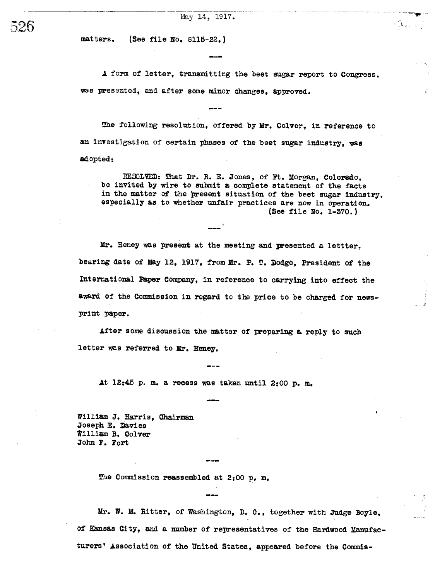(See file No. 8115-22.) matters.

A form of letter, transmitting the beet sugar report to Congress. was presented, and after some minor changes. approved.

 $\mathcal{A}^{\mathcal{A}}$  , and  $\mathcal{A}^{\mathcal{A}}$ 

The following resolution, offered by Mr. Colver, in reference to an investigation of certain phases of the beet sugar industry, was adopted:

RESOLVED: That Dr. R. E. Jones, of Ft. Morgan, Colorado, be invited by wire to submit a complete statement of the facts in the matter of the present situation of the beet sugar industry, especially as to whether unfair practices are now in operation. (See file No. 1-370.)

Mr. Heney was present at the meeting and presented a lettter, bearing date of May 12, 1917, from Mr. P. T. Dodge, President of the International Paper Company, in reference to carrying into effect the award of the Commission in regard to the price to be charged for newsprint paper.

After some discussion the matter of preparing a reply to such letter was referred to Mr. Heney.

At 12:45 p.m. a recess was taken until 2:00 p.m.

William J. Harris, Chairman Joseph E. Davies William B. Colver John F. Fort

The Commission reassembled at 2:00 p. m.

Mr. W. M. Ritter, of Washington, D. C., together with Judge Boyle. of Kansas City, and a number of representatives of the Hardwood Manufacturers' Association of the United States, appeared before the Commis-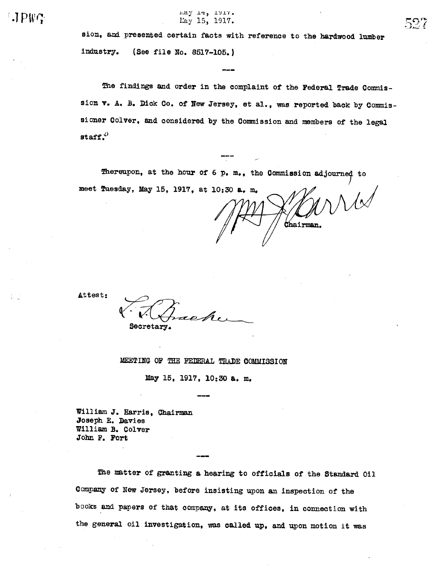$\mathsf{LIPWG}$ 

Eay 14, 1917. May 15, 1917.

sion, and presented certain facts with reference to the hardwood lumber industry. (See file No. 8517-105.)

The findings and order in the complaint of the Federal Trade Commission v. A. B. Dick Co. of New Jersey, et al., was reported back by Commissioner Colver, and considered by the Commission and members of the legal staff. $^{0}$ 

Thereupon, at the hour of 6 p.m., the Commission adjourned to meet Tuesday, May 15, 1917, at 10:30 a. m.

Chairman.

Attest:

Secretary.

MEETING OF THE FEDERAL TRADE COMMISSION

May 15, 1917, 10:30 a. m.

William J. Harris, Chairman Joseph E. Davies William B. Colver John F. Fort

The matter of granting a hearing to officials of the Standard Oil Company of New Jersey, before insisting upon an inspection of the books and papers of that company, at its offices, in connection with the general oil investigation, was called up, and upon motion it was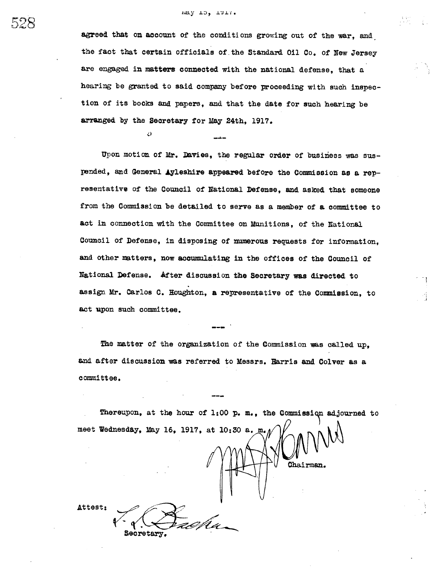#### may 10, TATI.

Z)

agreed that on account of the conditions growing out of the war, and the fact that certain officials of the Standard Oil Co. of New Jersey are engaged in matters connected with the national defense, that a hearing be granted to said company before proceeding with such inspection of its books and papers, and that the date for such hearing be arranged by the Secretary for May 24th, 1917.

Upon motion of Mr. Davies, the regular order of business was suspended, and General Ayleshire appeared before the Commission as a representative of the Council of National Defense, and asked that someone from the Commission be detailed to serve as a member of a committee to act in connection with the Committee on Munitions, of the National Council of Defense, in disposing of mumerous requests for information, and other matters, now accumulating in the offices of the Council of National Defense. After discussion the Secretary was directed to assign Mr. Carlos C. Houghton, a representative of the Commission, to act upon such committee.

The matter of the organization of the Commission was called up, and after discussion was referred to Messrs. Harris and Colver as a committee.

Thereupon, at the hour of 1:00 p. m., the Commission adjourned to meet Wednesday, May 16, 1917, at 10:30 a. m. Chairman. Attest: Secretary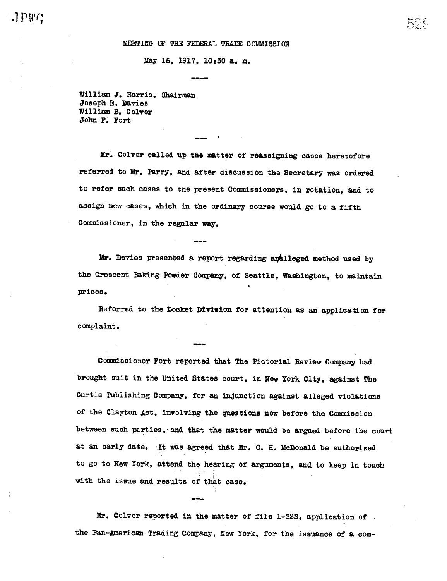#### MEETING OF THE FEDERAL TRADE COMMISSION

May 16, 1917, 10:30 a. m.

William J. Harris. Chairman Joseph E. Davies William B. Colver John F. Fort

Mr. Colver called up the matter of reassigning cases heretofore referred to Mr. Parry, and after discussion the Secretary was ordered to refer such cases to the present Commissioners, in rotation, and to assign new cases, which in the ordinary course would go to a fifth Commissioner, in the regular way.

Mr. Davies presented a report regarding analleged method used by the Crescent Baking Powder Company, of Seattle, Washington, to maintain prices.

Referred to the Docket Division for attention as an application for complaint.

Commissioner Fort reported that The Pictorial Review Company had brought suit in the United States court, in New York City, against The Curtis Publishing Company, for an injunction against alleged violations of the Clayton Act, involving the questions now before the Commission between such parties, and that the matter would be argued before the court at an early date. It was agreed that Mr. C. H. McDonald be authorized to go to New York, attend the hearing of arguments, and to keep in touch with the issue and results of that case.

Mr. Colver reported in the matter of file 1-222, application of the Pan-American Trading Company, New York, for the issuance of a com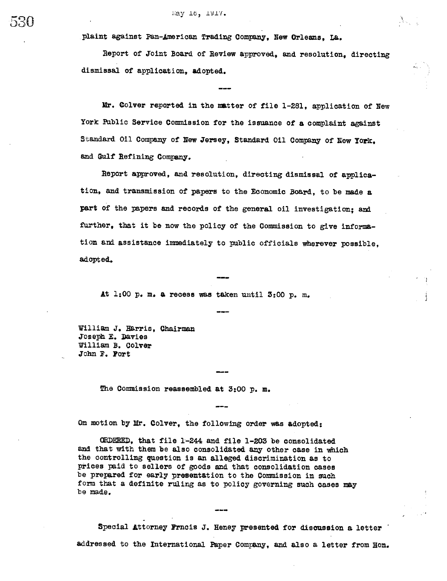plaint against Pan-American Trading Company, New Orleans, La.

Report of Joint Board of Review approved, and resolution, directing dismissal of application. adopted.

Mr. Colver reported in the matter of file 1-281, application of New York Public Service Commission for the issuance of a complaint against Standard Oil Company of New Jersey, Standard Oil Company of New York. and Gulf Refining Company.

Report approved, and resolution, directing dismissal of application, and transmission of papers to the Economic Board, to be made a part of the papers and records of the general oil investigation; and further, that it be now the policy of the Commission to give information and assistance immediately to public officials wherever possible. adopted.

At 1:00 p.m. a recess was taken until 3:00 p.m.

William J. Harris, Chairman Joseph E. Davies William B. Colver John F. Port

The Commission reassembled at 3:00 p. m.

On motion by Mr. Colver, the following order was adopted:

ORDERED, that file 1-244 and file 1-203 be consolidated and that with them be also consolidated any other case in which the controlling question is an alleged discrimination as to prices paid to sellers of goods and that consolidation cases be prepared for early presentation to the Commission in such form that a definite ruling as to policy governing such cases may be made.

Special Attorney Frncis J. Heney presented for discussion a letter addressed to the International Paper Company, and also a letter from Hon.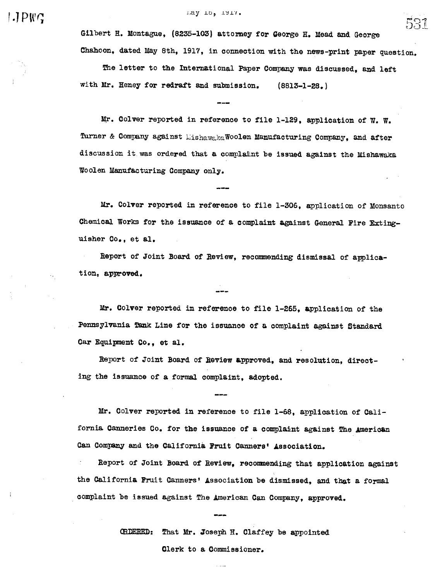$\Box$  PWC

may 10, 1917.

Gilbert H. Montague, (8235-103) attorney for George H. Mead and George Chahoon, dated May 8th, 1917, in connection with the news-print paper question.

The letter to the International Paper Company was discussed, and left with Mr. Heney for redraft and submission.  $(8813 - 1 - 28)$ 

Mr. Colver reported in reference to file 1-129, application of W. W. Turner & Company against MishawakaWoolen Manufacturing Company, and after discussion it was ordered that a complaint be issued against the Mishawaka Woolen Manufacturing Company only.

Mr. Colver reported in reference to file 1-306, application of Monsanto Chemical Works for the issuance of a complaint against General Fire Extinguisher Co., et al.

Report of Joint Board of Review, recommending dismissal of application, approved.

Mr. Colver reported in reference to file 1-265, application of the Pennsylvania Tank Line for the issuance of a complaint against Standard Car Equipment Co., et al.

Report of Joint Board of Review approved, and resolution, directing the issuance of a formal complaint, adopted.

Mr. Colver reported in reference to file 1-68, application of California Canneries Co. for the issuance of a complaint against The American Can Company and the California Fruit Canners' Association.

Report of Joint Board of Review, recommending that application against the California Fruit Canners' Association be dismissed, and that a formal complaint be issued against The American Can Company, approved.

> CRDERED: That Mr. Joseph H. Claffey be appointed Clerk to a Commissioner.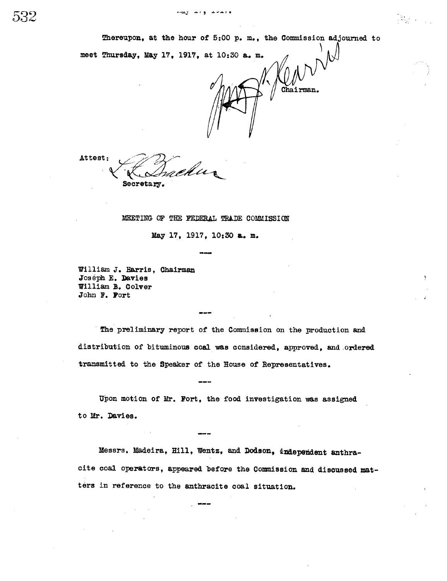Thereupon, at the hour of 5:00 p. m., the Commission adjourned to



Attest: Secretary.

MEETING OF THE FEDERAL TRADE COMMISSION

May 17, 1917, 10:30 a. m.

William J. Harris, Chairman Joseph E. Davies William B. Colver John F. Port

The preliminary report of the Commission on the production and distribution of bituminous coal was considered, approved, and ordered transmitted to the Speaker of the House of Representatives.

Upon motion of Mr. Fort, the food investigation was assigned to Mr. Davies.

Messrs. Madeira, Hill, Wentz, and Dodson, independent anthracite coal operators, appeared before the Commission and discussed matters in reference to the anthracite coal situation.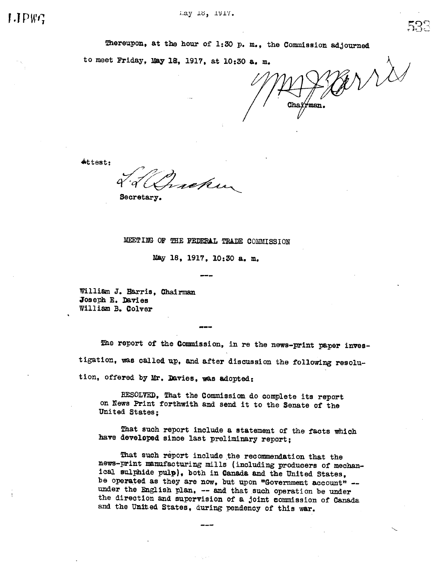Thereupon, at the hour of 1:30 p. m., the Commission adjourned

to meet Friday, May 18, 1917, at 10:30 a. m.

grris Chai'rman.

Attest:

Secretary.

MEETING OF THE FEDERAL TRADE COMMISSION

May 18, 1917, 10:30 a. m.

William J. Harris, Chairman Joseph E. Davies William B. Colver

The report of the Commission, in re the news-print paper investigation, was called up, and after discussion the following resolution, offered by Mr. Davies, was adopted:

RESOLVED. That the Commission do complete its report on News Print forthwith and send it to the Senate of the United States;

That such report include a statement of the facts which have developed since last preliminary report;

That such report include the recommendation that the news-print manufacturing mills (including producers of mechanical sulphide pulp), both in Canada and the United States, be operated as they are now, but upon "Government account" -under the English plan, -- and that such operation be under the direction and supervision of a joint commission of Canada and the United States, during pendency of this war.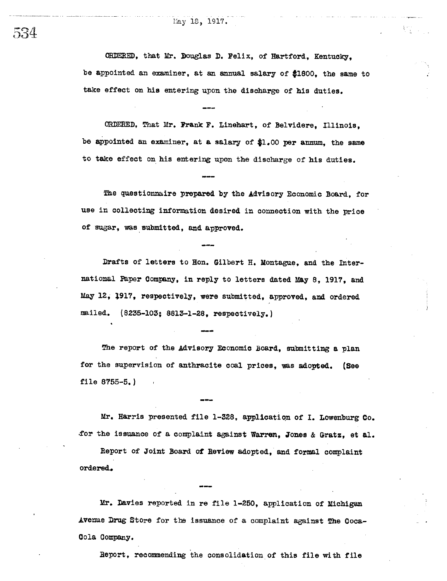## May 18, 1917.

ORDERED, that Mr. Douglas D. Felix. of Hartford. Kentucky. be appointed an examiner, at an annual salary of \$1800, the same to take effect on his entering upon the discharge of his duties.

ORDERED, That Mr. Frank F. Linehart, of Belvidere, Illinois, be appointed an examiner, at a salary of \$1.00 per annum, the same to take effect on his entering upon the discharge of his duties.

The questionnaire prepared by the Advisory Economic Board, for use in collecting information desired in connection with the price of sugar, was submitted, and approved.

Drafts of letters to Hon. Gilbert H. Montague, and the International Paper Company, in reply to letters dated May 8, 1917, and May 12, 1917, respectively, were submitted, approved, and ordered mailed. (8235-103; 8813-1-28, respectively.)

The report of the Advisory Economic Board, submitting a plan for the supervision of anthracite coal prices, was adopted. (See file  $8755 - 5.$ 

Mr. Harris presented file 1-328, application of I. Lowenburg Co. for the issuance of a complaint against Warren, Jones & Gratz, et al.

Report of Joint Board of Review adopted, and formal complaint ordered.

Mr. Davies reported in re file 1-250, application of Michigan Avenue Drug Store for the issuance of a complaint against The Coca-Cola Company.

Report, recommending the consolidation of this file with file

534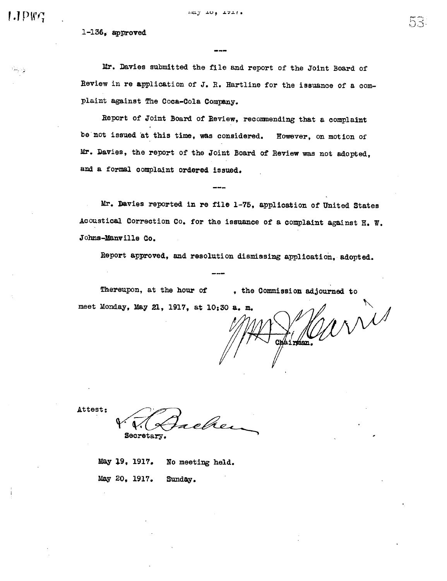$LIPWG$ 

وزيانا

 $1-136$ , approved

Mr. Davies submitted the file and report of the Joint Board of Review in re application of J. R. Hartline for the issuance of a complaint against The Coca-Cola Company.

ハイ

والملائم وقالم الإلكانة

Report of Joint Board of Review, recommending that a complaint be not issued at this time, was considered. However, on motion of Mr. Davies, the report of the Joint Board of Review was not adopted, and a formal complaint ordered issued.

Mr. Davies reported in re file 1-75, application of United States Acoustical Correction Co. for the issuance of a complaint against H. W. Johns-Manville Co.

Report approved, and resolution dismissing application, adopted.

Thereupon, at the hour of , the Commission adjourned to INNis meet Monday, May 21, 1917, at 10:30 a. m.

Chairman.

Attest:

reher Secretary.

May 19, 1917. No meeting held. May 20, 1917. Sunday.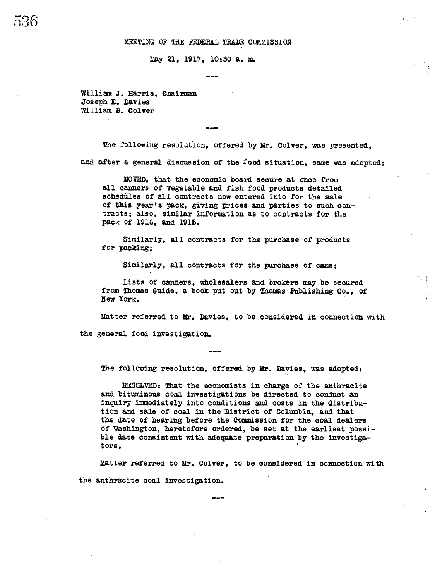#### MEETING OF THE FEDERAL TRADE COMMISSION

May 21, 1917, 10:30 a. m.

William J. Harris, Chairman Joseph E. Davies William B. Colver

The following resolution, offered by Mr. Colver, was presented, and after a general discussion of the food situation, same was adopted:

MOVED, that the economic board secure at once from all canners of vegetable and fish food products detailed schedules of all contracts now entered into for the sale of this year's pack, giving prices and parties to such contracts; also, similar information as to contracts for the pack of 1916, and 1915.

Similarly, all contracts for the purchase of products for packing:

Similarly, all contracts for the purchase of cans:

Lists of canners, wholesalers and brokers may be secured from Thomas Guide, a book put out by Thomas Publishing Co., of New York.

Matter referred to Mr. Davies, to be considered in connection with

the general food investigation.

The following resolution, offered by Mr. Davies, was adopted:

RESOLVED: That the economists in charge of the anthracite and bituminous coal investigations be directed to conduct an inquiry immediately into conditions and costs in the distribution and sale of coal in the District of Columbia, and that the date of hearing before the Commission for the coal dealers of Washington, heretofore ordered, be set at the earliest possible date consistent with adequate preparation by the investigators.

Matter referred to Mr. Colver, to be considered in connection with the anthracite coal investigation.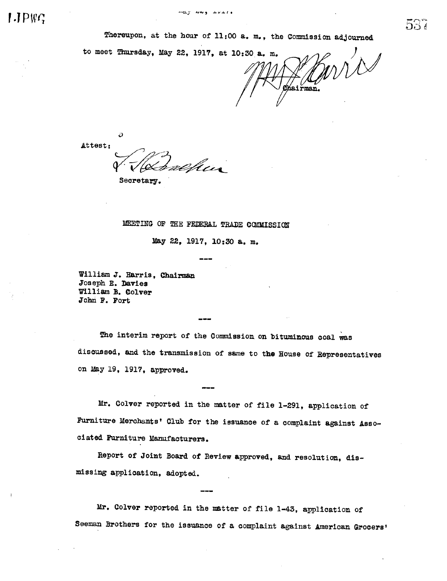to meet Thursday, May 22, 1917, at 10:30 a. m. Zhairman.

Ò

Attest: alhur

Secretary.

MEETING OF THE FEDERAL TRADE COMMISSION

May 22, 1917, 10:30 a. m.

William J. Harris, Chairman Joseph E. Davies William B. Colver John F. Fort

The interim report of the Commission on bituminous coal was discussed, and the transmission of same to the House of Representatives on May 19, 1917, approved.

Mr. Colver reported in the matter of file 1-291, application of Furniture Merchants' Club for the issuance of a complaint against Associated Furniture Manufacturers.

Report of Joint Board of Review approved, and resolution, dismissing application, adopted.

Mr. Colver reported in the matter of file 1-43, application of Seeman Brothers for the issuance of a complaint against American Grocers'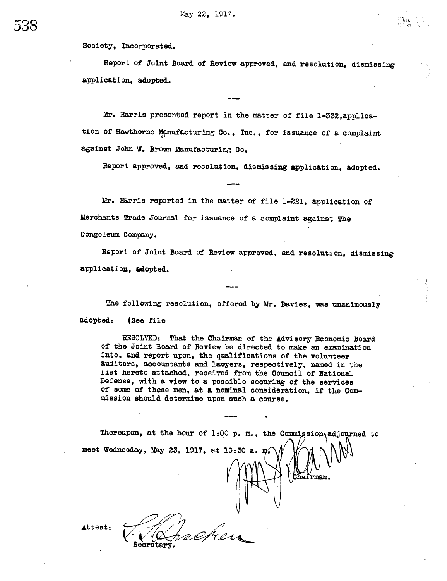Society, Incorporated.

ר הו

Report of Joint Board of Review approved, and resolution, dismissing application, adopted.

Mr. Harris presented report in the matter of file 1-332, application of Hawthorne Manufacturing Co., Inc., for issuance of a complaint against John W. Brown Manufacturing Co.

Report approved, and resolution, dismissing application, adopted.

Mr. Harris reported in the matter of file 1-221, application of Merchants Trade Journal for issuance of a complaint against The Congoleum Company.

Report of Joint Board of Review approved, and resolution, dismissing application, adopted.

The following resolution, offered by Mr. Davies, was unanimously adopted: (See file

RESOLVED: That the Chairman of the Advisory Economic Board of the Joint Board of Review be directed to make an examination into, and report upon, the qualifications of the volunteer auditors, accountants and lawyers, respectively, named in the list hereto attached, received from the Council of National Defense, with a view to a possible securing of the services of some of these men, at a nominal consideration, if the Commission should determine upon such a course.

Thereupon, at the hour of 1:00 p.m., the Commission adjourned to meet Wednesday, May 23, 1917, at 10:30 a. m.  $\sqrt{\text{b}}$ airman.

Attest: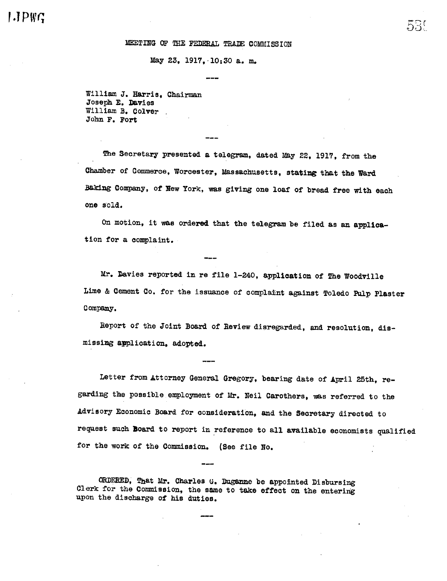## MEETING OF THE FEDERAL TRADE COMMISSION

May 23, 1917, 10:30 a. m.

William J. Harris, Chairman Joseph E. Davies William B. Colver John F. Fort

The Secretary presented a telegram, dated May 22, 1917, from the Chamber of Commerce, Worcester, Massachusetts, stating that the Ward Baking Company, of New York, was giving one loaf of bread free with each one sold.

On motion, it was ordered that the telegram be filed as an application for a complaint.

Mr. Davies reported in re file 1-240, application of The Woodville Lime & Cement Co. for the issuance of complaint against Toledo Pulp Plaster Company.

Report of the Joint Board of Review disregarded, and resolution, dismissing application, adopted.

Letter from Attorney General Gregory, bearing date of April 25th, regarding the possible employment of Mr. Neil Carothers, was referred to the Advisory Economic Board for consideration, and the Secretary directed to request such Board to report in reference to all available economists qualified for the work of the Commission. (See file No.

ORDERED, That Mr. Charles G. Duganne be appointed Disbursing Clerk for the Commission, the same to take effect on the entering upon the discharge of his duties.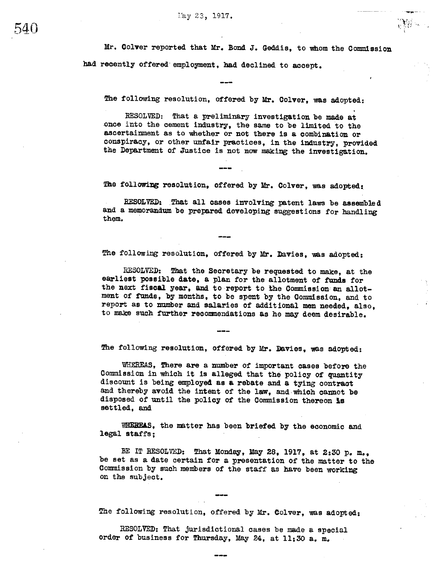Mr. Colver reported that Mr. Bond J. Geddis, to whom the Commission had recently offered employment, had declined to accept.

 $\mathbb{R}$ 

The following resolution, offered by Mr. Colver, was adopted:

RESOLVED: That a preliminary investigation be made at once into the cement industry, the same to be limited to the ascertainment as to whether or not there is a combination or conspiracy, or other unfair practices, in the industry, provided the Department of Justice is not now making the investigation.

The following resolution, offered by Mr. Colver, was adopted:

RESOLVED: That all cases involving patent laws be assembled and a memorandum be prepared developing suggestions for handling them.

The following resolution, offered by Mr. Davies, was adopted:

RESOLVED: That the Secretary be requested to make, at the earliest possible date, a plan for the allotment of funds for the next fiscal year, and to report to the Commission an allotment of funds, by months, to be spent by the Commission, and to report as to number and salaries of additional men needed, also, to make such further recommendations as he may deem desirable.

The following resolution, offered by Mr. Davies, was adopted:

WHEREAS, There are a number of important cases before the Commission in which it is alleged that the policy of quantity discount is being employed as a rebate and a tying contract and thereby avoid the intent of the law, and which cannot be disposed of until the policy of the Commission thereon is settled, and

WHEREAS, the matter has been briefed by the economic and legal staffs:

BE IT RESOLVED: That Monday, May 28, 1917, at 2:30 p. m., be set as a date certain for a presentation of the matter to the Commission by such members of the staff as have been working on the subject.

The following resolution, offered by Mr. Colver, was adopted:

RESOLVED: That jurisdictional cases be made a special order of business for Thursday, May 24, at 11:30 a. m.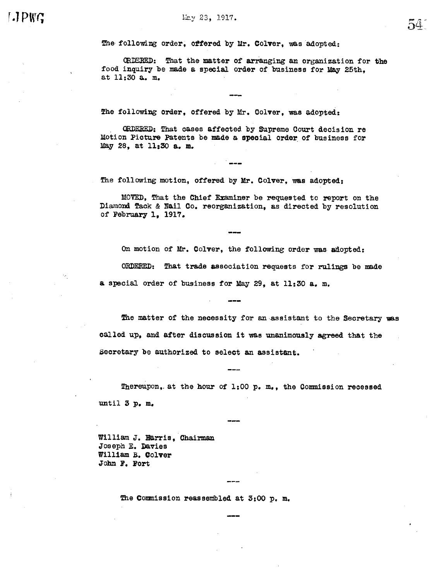The following order, offered by Mr. Colver, was adopted:

CRDERED: That the matter of arranging an organization for the food inquiry be made a special order of business for May 25th. at 11:30 a. m.

The following order, offered by Mr. Colver, was adopted:

ORDERED: That cases affected by Supreme Court decision re Motion Picture Patents be made a special order of business for May 28, at 11:30 a. m.

The following motion, offered by Mr. Colver, was adopted:

MOVED, That the Chief Examiner be requested to report on the Diamond Tack & Nail Co. reorganization, as directed by resolution of February 1, 1917.

On motion of Mr. Colver, the following order was adopted: ORDERED: That trade association requests for rulings be made a special order of business for May 29, at 11:30 a. m.

The matter of the necessity for an assistant to the Secretary was called up, and after discussion it was unanimously agreed that the Secretary be authorized to select an assistant.

Thereupon, at the hour of 1:00 p. m., the Commission recessed until 3 p.m.

William J. Harris, Chairman Joseph E. Davies William B. Colver John F. Fort

The Commission reassembled at 3:00 p. m.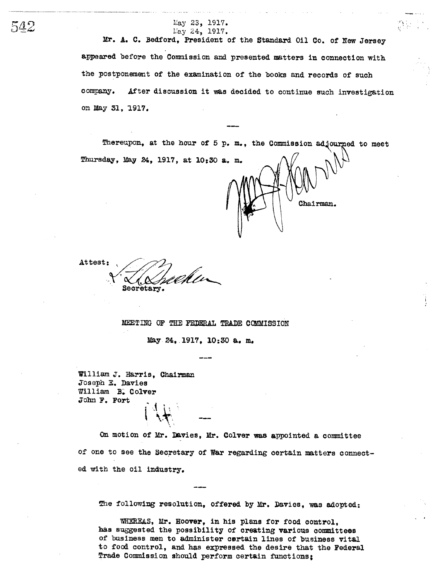Mr. A. C. Bedford, President of the Standard Oil Co. of New Jersey appeared before the Commission and presented matters in connection with the postponement of the examination of the books and records of such After discussion it was decided to continue such investigation company. on May 31, 1917.

Thereupon, at the hour of 5 p.m., the Commission adjourned to meet Thursday, May 24, 1917, at 10:30 a. m.

Chairman.

Attest: Secretary.

MEETING OF THE FEDERAL TRADE COMMISSION

May 24, 1917, 10:30 a. m.

William J. Harris, Chairman Joseph E. Davies William B. Colver John F. Fort

On motion of Mr. Davies, Mr. Colver was appointed a committee of one to see the Secretary of War regarding certain matters connected with the oil industry.

The following resolution, offered by Mr. Davies, was adopted:

WHEREAS, Mr. Hoover, in his plans for food control, has suggested the possibility of creating various committees of business men to administer certain lines of business vital to food control, and has expressed the desire that the Federal Trade Commission should perform certain functions;

542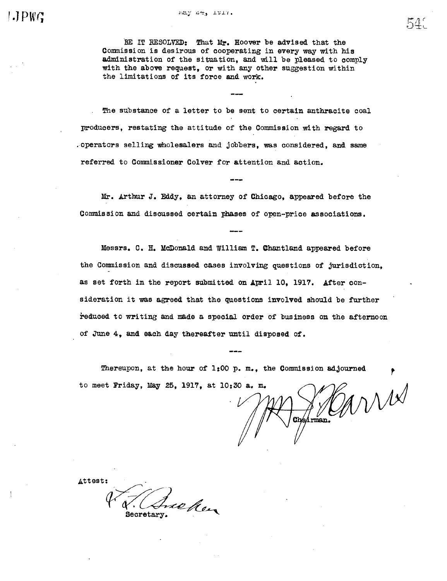may 44, 1917.

BE IT RESOLVED: That Mr. Hoover be advised that the Commission is desirous of cooperating in every way with his administration of the situation, and will be pleased to comply with the above request, or with any other suggestion within the limitations of its force and work.

The substance of a letter to be sent to certain anthracite coal producers, restating the attitude of the Commission with regard to operators selling wholesalers and jobbers, was considered, and same referred to Commissioner Colver for attention and action.

Mr. Arthur J. Eddy, an attorney of Chicago, appeared before the Commission and discussed certain phases of open-price associations.

Messrs. C. H. McDonald and William T. Chantland appeared before the Commission and discussed cases involving questions of jurisdiction. as set forth in the report submitted on April 10, 1917. After consideration it was agreed that the questions involved should be further reduced to writing and made a special order of business on the afternoon of June 4, and each day thereafter until disposed of.

Thereupon, at the hour of  $1:00$  p.m., the Commission adjourned to meet Friday, May 25, 1917, at 10:30 a. m.

CANNA Chairman.

Attest: treken Secretary

54.